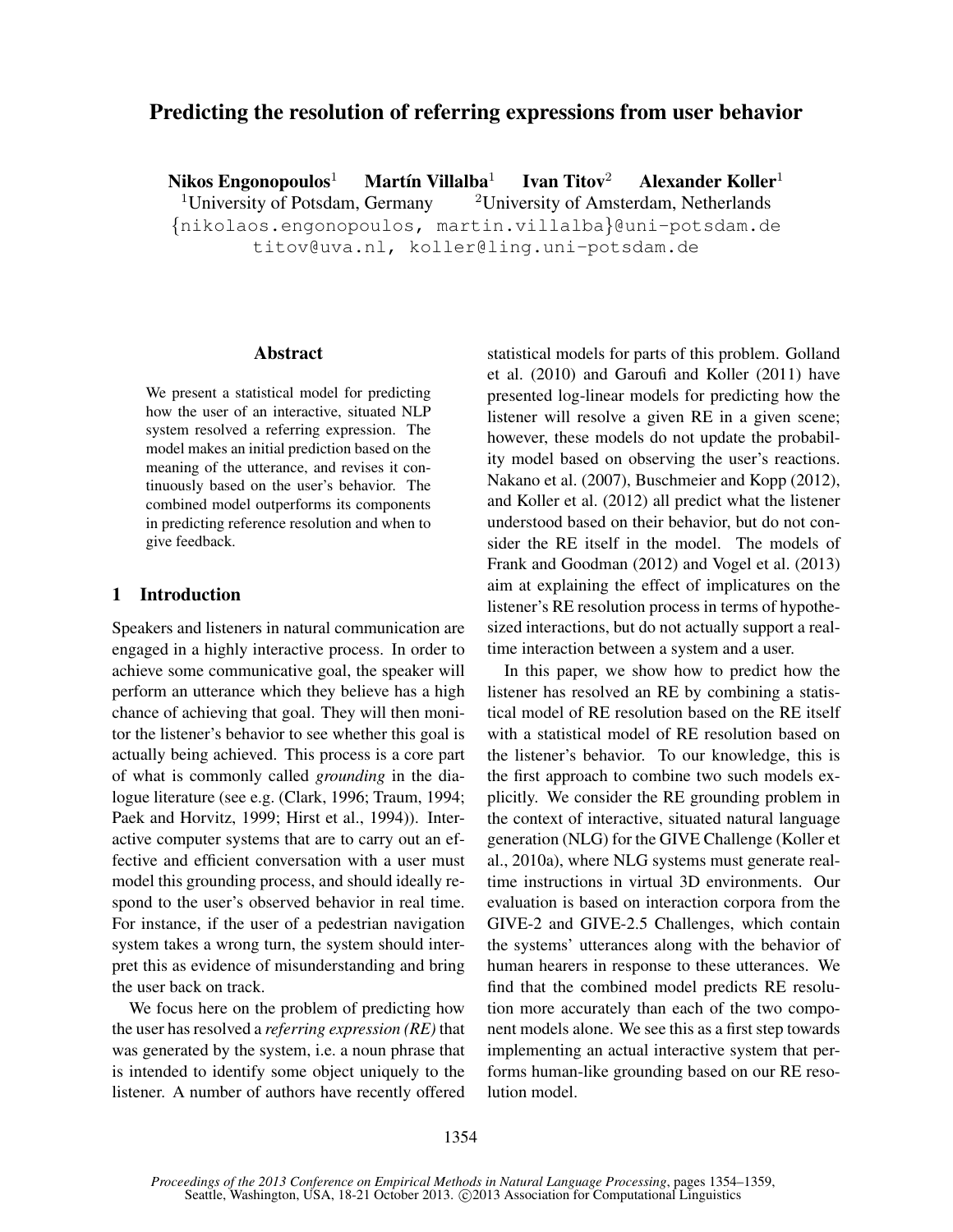# Predicting the resolution of referring expressions from user behavior

Nikos Engonopoulos<sup>1</sup> Martín Villalba<sup>1</sup> Ivan Titov<sup>2</sup> Alexander Koller<sup>1</sup> <sup>1</sup>University of Potsdam, Germany  $\frac{2 \text{University of Amsterdam}}{2 \text{University of A}}$ {nikolaos.engonopoulos, martin.villalba}@uni-potsdam.de

titov@uva.nl, koller@ling.uni-potsdam.de

#### Abstract

We present a statistical model for predicting how the user of an interactive, situated NLP system resolved a referring expression. The model makes an initial prediction based on the meaning of the utterance, and revises it continuously based on the user's behavior. The combined model outperforms its components in predicting reference resolution and when to give feedback.

### 1 Introduction

Speakers and listeners in natural communication are engaged in a highly interactive process. In order to achieve some communicative goal, the speaker will perform an utterance which they believe has a high chance of achieving that goal. They will then monitor the listener's behavior to see whether this goal is actually being achieved. This process is a core part of what is commonly called *grounding* in the dialogue literature (see e.g. (Clark, 1996; Traum, 1994; Paek and Horvitz, 1999; Hirst et al., 1994)). Interactive computer systems that are to carry out an effective and efficient conversation with a user must model this grounding process, and should ideally respond to the user's observed behavior in real time. For instance, if the user of a pedestrian navigation system takes a wrong turn, the system should interpret this as evidence of misunderstanding and bring the user back on track.

We focus here on the problem of predicting how the user has resolved a *referring expression (RE)* that was generated by the system, i.e. a noun phrase that is intended to identify some object uniquely to the listener. A number of authors have recently offered statistical models for parts of this problem. Golland et al. (2010) and Garoufi and Koller (2011) have presented log-linear models for predicting how the listener will resolve a given RE in a given scene; however, these models do not update the probability model based on observing the user's reactions. Nakano et al. (2007), Buschmeier and Kopp (2012), and Koller et al. (2012) all predict what the listener understood based on their behavior, but do not consider the RE itself in the model. The models of Frank and Goodman (2012) and Vogel et al. (2013) aim at explaining the effect of implicatures on the listener's RE resolution process in terms of hypothesized interactions, but do not actually support a realtime interaction between a system and a user.

In this paper, we show how to predict how the listener has resolved an RE by combining a statistical model of RE resolution based on the RE itself with a statistical model of RE resolution based on the listener's behavior. To our knowledge, this is the first approach to combine two such models explicitly. We consider the RE grounding problem in the context of interactive, situated natural language generation (NLG) for the GIVE Challenge (Koller et al., 2010a), where NLG systems must generate realtime instructions in virtual 3D environments. Our evaluation is based on interaction corpora from the GIVE-2 and GIVE-2.5 Challenges, which contain the systems' utterances along with the behavior of human hearers in response to these utterances. We find that the combined model predicts RE resolution more accurately than each of the two component models alone. We see this as a first step towards implementing an actual interactive system that performs human-like grounding based on our RE resolution model.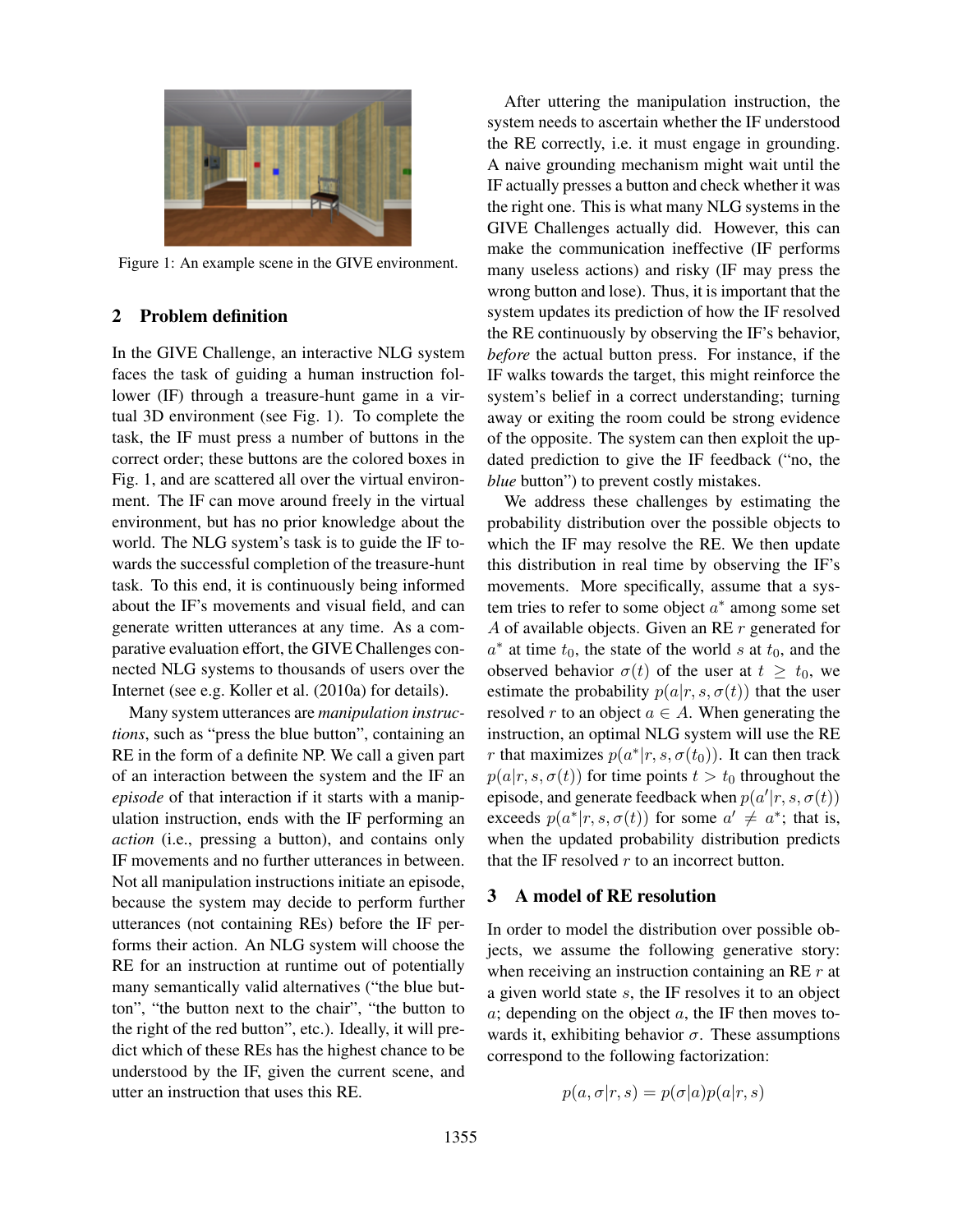

Figure 1: An example scene in the GIVE environment.

## 2 Problem definition

In the GIVE Challenge, an interactive NLG system faces the task of guiding a human instruction follower (IF) through a treasure-hunt game in a virtual 3D environment (see Fig. 1). To complete the task, the IF must press a number of buttons in the correct order; these buttons are the colored boxes in Fig. 1, and are scattered all over the virtual environment. The IF can move around freely in the virtual environment, but has no prior knowledge about the world. The NLG system's task is to guide the IF towards the successful completion of the treasure-hunt task. To this end, it is continuously being informed about the IF's movements and visual field, and can generate written utterances at any time. As a comparative evaluation effort, the GIVE Challenges connected NLG systems to thousands of users over the Internet (see e.g. Koller et al. (2010a) for details).

Many system utterances are *manipulation instructions*, such as "press the blue button", containing an RE in the form of a definite NP. We call a given part of an interaction between the system and the IF an *episode* of that interaction if it starts with a manipulation instruction, ends with the IF performing an *action* (i.e., pressing a button), and contains only IF movements and no further utterances in between. Not all manipulation instructions initiate an episode, because the system may decide to perform further utterances (not containing REs) before the IF performs their action. An NLG system will choose the RE for an instruction at runtime out of potentially many semantically valid alternatives ("the blue button", "the button next to the chair", "the button to the right of the red button", etc.). Ideally, it will predict which of these REs has the highest chance to be understood by the IF, given the current scene, and utter an instruction that uses this RE.

After uttering the manipulation instruction, the system needs to ascertain whether the IF understood the RE correctly, i.e. it must engage in grounding. A naive grounding mechanism might wait until the IF actually presses a button and check whether it was the right one. This is what many NLG systems in the GIVE Challenges actually did. However, this can make the communication ineffective (IF performs many useless actions) and risky (IF may press the wrong button and lose). Thus, it is important that the system updates its prediction of how the IF resolved the RE continuously by observing the IF's behavior, *before* the actual button press. For instance, if the IF walks towards the target, this might reinforce the system's belief in a correct understanding; turning away or exiting the room could be strong evidence of the opposite. The system can then exploit the updated prediction to give the IF feedback ("no, the *blue* button") to prevent costly mistakes.

We address these challenges by estimating the probability distribution over the possible objects to which the IF may resolve the RE. We then update this distribution in real time by observing the IF's movements. More specifically, assume that a system tries to refer to some object  $a^*$  among some set A of available objects. Given an RE r generated for  $a^*$  at time  $t_0$ , the state of the world s at  $t_0$ , and the observed behavior  $\sigma(t)$  of the user at  $t \geq t_0$ , we estimate the probability  $p(a|r, s, \sigma(t))$  that the user resolved r to an object  $a \in A$ . When generating the instruction, an optimal NLG system will use the RE *r* that maximizes  $p(a^*|r, s, \sigma(t_0))$ . It can then track  $p(a|r, s, \sigma(t))$  for time points  $t > t_0$  throughout the episode, and generate feedback when  $p(a'|r, s, \sigma(t))$ exceeds  $p(a^*|r, s, \sigma(t))$  for some  $a' \neq a^*$ ; that is, when the updated probability distribution predicts that the IF resolved  $r$  to an incorrect button.

## 3 A model of RE resolution

In order to model the distribution over possible objects, we assume the following generative story: when receiving an instruction containing an RE  $r$  at a given world state s, the IF resolves it to an object  $a$ ; depending on the object  $a$ , the IF then moves towards it, exhibiting behavior  $\sigma$ . These assumptions correspond to the following factorization:

$$
p(a, \sigma | r, s) = p(\sigma | a) p(a | r, s)
$$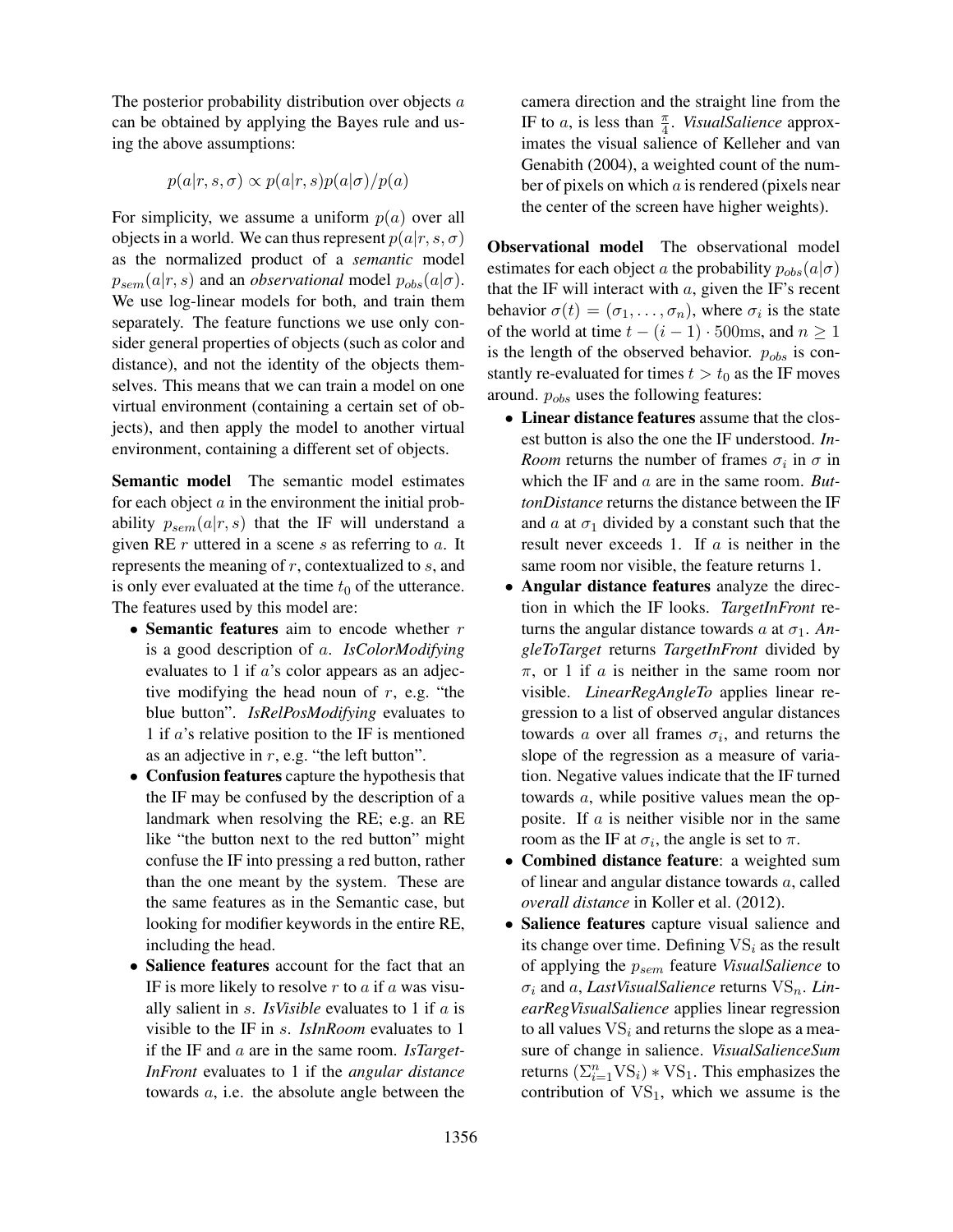The posterior probability distribution over objects  $a$ can be obtained by applying the Bayes rule and using the above assumptions:

$$
p(a|r, s, \sigma) \propto p(a|r, s)p(a|\sigma)/p(a)
$$

For simplicity, we assume a uniform  $p(a)$  over all objects in a world. We can thus represent  $p(a|r, s, \sigma)$ as the normalized product of a *semantic* model  $p_{sem}(a|r, s)$  and an *observational* model  $p_{obs}(a|\sigma)$ . We use log-linear models for both, and train them separately. The feature functions we use only consider general properties of objects (such as color and distance), and not the identity of the objects themselves. This means that we can train a model on one virtual environment (containing a certain set of objects), and then apply the model to another virtual environment, containing a different set of objects.

Semantic model The semantic model estimates for each object  $\alpha$  in the environment the initial probability  $p_{sem}(a|r, s)$  that the IF will understand a given RE  $r$  uttered in a scene  $s$  as referring to  $a$ . It represents the meaning of  $r$ , contextualized to  $s$ , and is only ever evaluated at the time  $t_0$  of the utterance. The features used by this model are:

- Semantic features aim to encode whether  $r$ is a good description of a. *IsColorModifying* evaluates to 1 if a's color appears as an adjective modifying the head noun of  $r$ , e.g. "the blue button". *IsRelPosModifying* evaluates to 1 if  $a$ 's relative position to the IF is mentioned as an adjective in  $r$ , e.g. "the left button".
- Confusion features capture the hypothesis that the IF may be confused by the description of a landmark when resolving the RE; e.g. an RE like "the button next to the red button" might confuse the IF into pressing a red button, rather than the one meant by the system. These are the same features as in the Semantic case, but looking for modifier keywords in the entire RE, including the head.
- Salience features account for the fact that an IF is more likely to resolve  $r$  to  $a$  if  $a$  was visually salient in s. *IsVisible* evaluates to 1 if a is visible to the IF in s. *IsInRoom* evaluates to 1 if the IF and a are in the same room. *IsTarget-InFront* evaluates to 1 if the *angular distance* towards a, i.e. the absolute angle between the

camera direction and the straight line from the IF to a, is less than  $\frac{\pi}{4}$ . *VisualSalience* approximates the visual salience of Kelleher and van Genabith (2004), a weighted count of the number of pixels on which a is rendered (pixels near the center of the screen have higher weights).

Observational model The observational model estimates for each object a the probability  $p_{obs}(a|\sigma)$ that the IF will interact with  $a$ , given the IF's recent behavior  $\sigma(t) = (\sigma_1, \dots, \sigma_n)$ , where  $\sigma_i$  is the state of the world at time  $t - (i - 1) \cdot 500$ ms, and  $n \ge 1$ is the length of the observed behavior.  $p_{obs}$  is constantly re-evaluated for times  $t > t_0$  as the IF moves around.  $p_{obs}$  uses the following features:

- Linear distance features assume that the closest button is also the one the IF understood. *In-Room* returns the number of frames  $\sigma_i$  in  $\sigma$  in which the IF and a are in the same room. *ButtonDistance* returns the distance between the IF and  $\alpha$  at  $\sigma_1$  divided by a constant such that the result never exceeds 1. If  $a$  is neither in the same room nor visible, the feature returns 1.
- Angular distance features analyze the direction in which the IF looks. *TargetInFront* returns the angular distance towards  $a$  at  $\sigma_1$ . An*gleToTarget* returns *TargetInFront* divided by  $\pi$ , or 1 if a is neither in the same room nor visible. *LinearRegAngleTo* applies linear regression to a list of observed angular distances towards a over all frames  $\sigma_i$ , and returns the slope of the regression as a measure of variation. Negative values indicate that the IF turned towards a, while positive values mean the opposite. If  $\alpha$  is neither visible nor in the same room as the IF at  $\sigma_i$ , the angle is set to  $\pi$ .
- Combined distance feature: a weighted sum of linear and angular distance towards a, called *overall distance* in Koller et al. (2012).
- Salience features capture visual salience and its change over time. Defining  $VS_i$  as the result of applying the psem feature *VisualSalience* to  $\sigma_i$  and a, *LastVisualSalience* returns  $VS_n$ . *LinearRegVisualSalience* applies linear regression to all values  $VS_i$  and returns the slope as a measure of change in salience. *VisualSalienceSum* returns  $(\sum_{i=1}^{n} VS_i) * VS_1$ . This emphasizes the contribution of  $VS_1$ , which we assume is the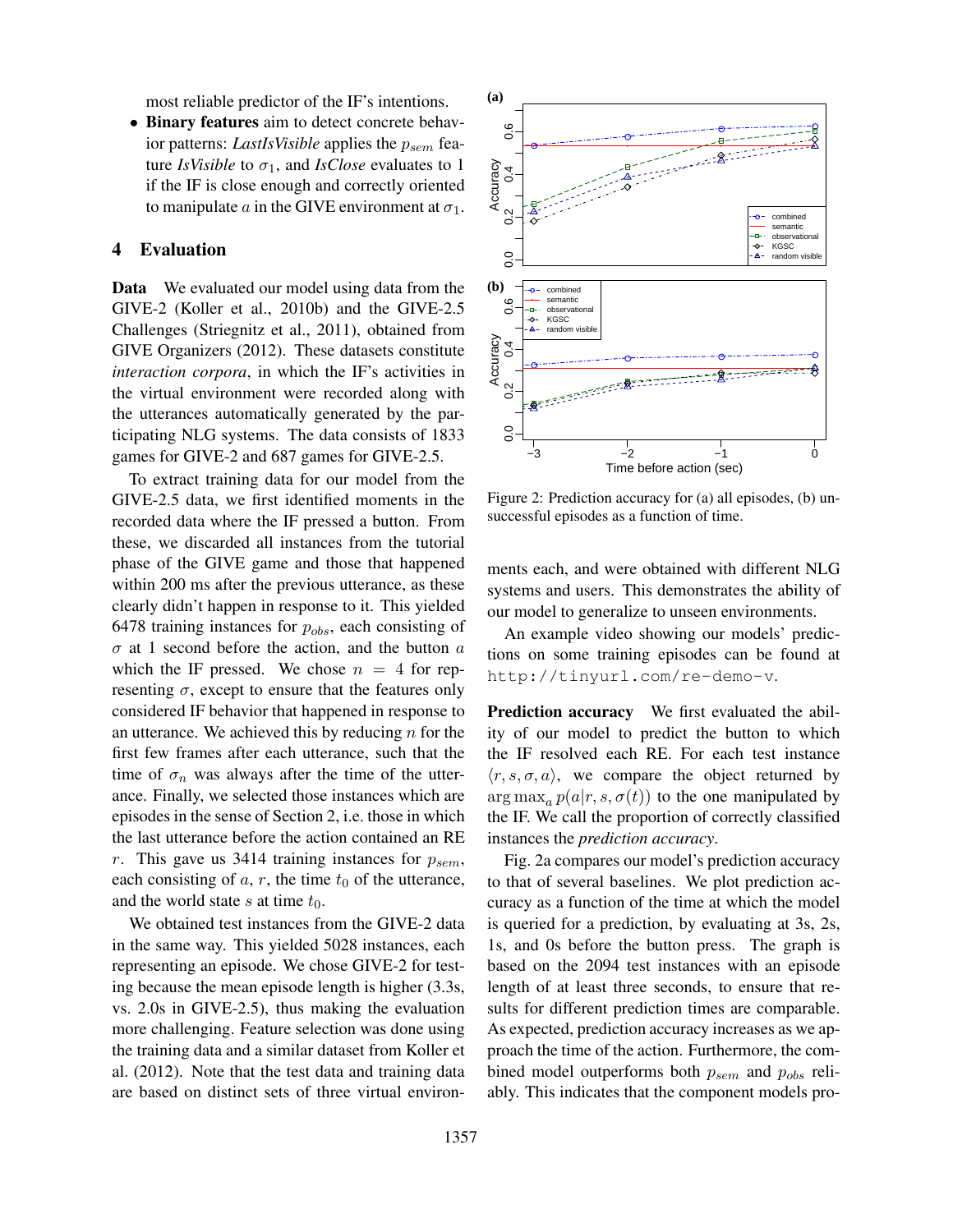most reliable predictor of the IF's intentions.

• Binary features aim to detect concrete behavior patterns: *LastIsVisible* applies the  $p_{sem}$  feature *IsVisible* to  $\sigma_1$ , and *IsClose* evaluates to 1 if the IF is close enough and correctly oriented to manipulate a in the GIVE environment at  $\sigma_1$ .

## 4 Evaluation

Data We evaluated our model using data from the GIVE-2 (Koller et al., 2010b) and the GIVE-2.5 Challenges (Striegnitz et al., 2011), obtained from GIVE Organizers (2012). These datasets constitute *interaction corpora*, in which the IF's activities in the virtual environment were recorded along with the utterances automatically generated by the participating NLG systems. The data consists of 1833 games for GIVE-2 and 687 games for GIVE-2.5.

To extract training data for our model from the GIVE-2.5 data, we first identified moments in the recorded data where the IF pressed a button. From these, we discarded all instances from the tutorial phase of the GIVE game and those that happened within 200 ms after the previous utterance, as these clearly didn't happen in response to it. This yielded 6478 training instances for  $p_{obs}$ , each consisting of  $\sigma$  at 1 second before the action, and the button  $\alpha$ which the IF pressed. We chose  $n = 4$  for representing  $\sigma$ , except to ensure that the features only considered IF behavior that happened in response to an utterance. We achieved this by reducing  $n$  for the first few frames after each utterance, such that the time of  $\sigma_n$  was always after the time of the utterance. Finally, we selected those instances which are episodes in the sense of Section 2, i.e. those in which the last utterance before the action contained an RE r. This gave us 3414 training instances for  $p_{sem}$ , each consisting of  $a, r$ , the time  $t_0$  of the utterance, and the world state s at time  $t_0$ .

We obtained test instances from the GIVE-2 data in the same way. This yielded 5028 instances, each representing an episode. We chose GIVE-2 for testing because the mean episode length is higher (3.3s, vs. 2.0s in GIVE-2.5), thus making the evaluation more challenging. Feature selection was done using the training data and a similar dataset from Koller et al. (2012). Note that the test data and training data are based on distinct sets of three virtual environ-



Figure 2: Prediction accuracy for (a) all episodes, (b) unsuccessful episodes as a function of time.

ments each, and were obtained with different NLG systems and users. This demonstrates the ability of our model to generalize to unseen environments.

An example video showing our models' predictions on some training episodes can be found at http://tinyurl.com/re-demo-v.

Prediction accuracy We first evaluated the ability of our model to predict the button to which the IF resolved each RE. For each test instance  $\langle r, s, \sigma, a \rangle$ , we compare the object returned by  $\arg \max_a p(a|r, s, \sigma(t))$  to the one manipulated by the IF. We call the proportion of correctly classified instances the *prediction accuracy*.

Fig. 2a compares our model's prediction accuracy to that of several baselines. We plot prediction accuracy as a function of the time at which the model is queried for a prediction, by evaluating at 3s, 2s, 1s, and 0s before the button press. The graph is based on the 2094 test instances with an episode length of at least three seconds, to ensure that results for different prediction times are comparable. As expected, prediction accuracy increases as we approach the time of the action. Furthermore, the combined model outperforms both  $p_{sem}$  and  $p_{obs}$  reliably. This indicates that the component models pro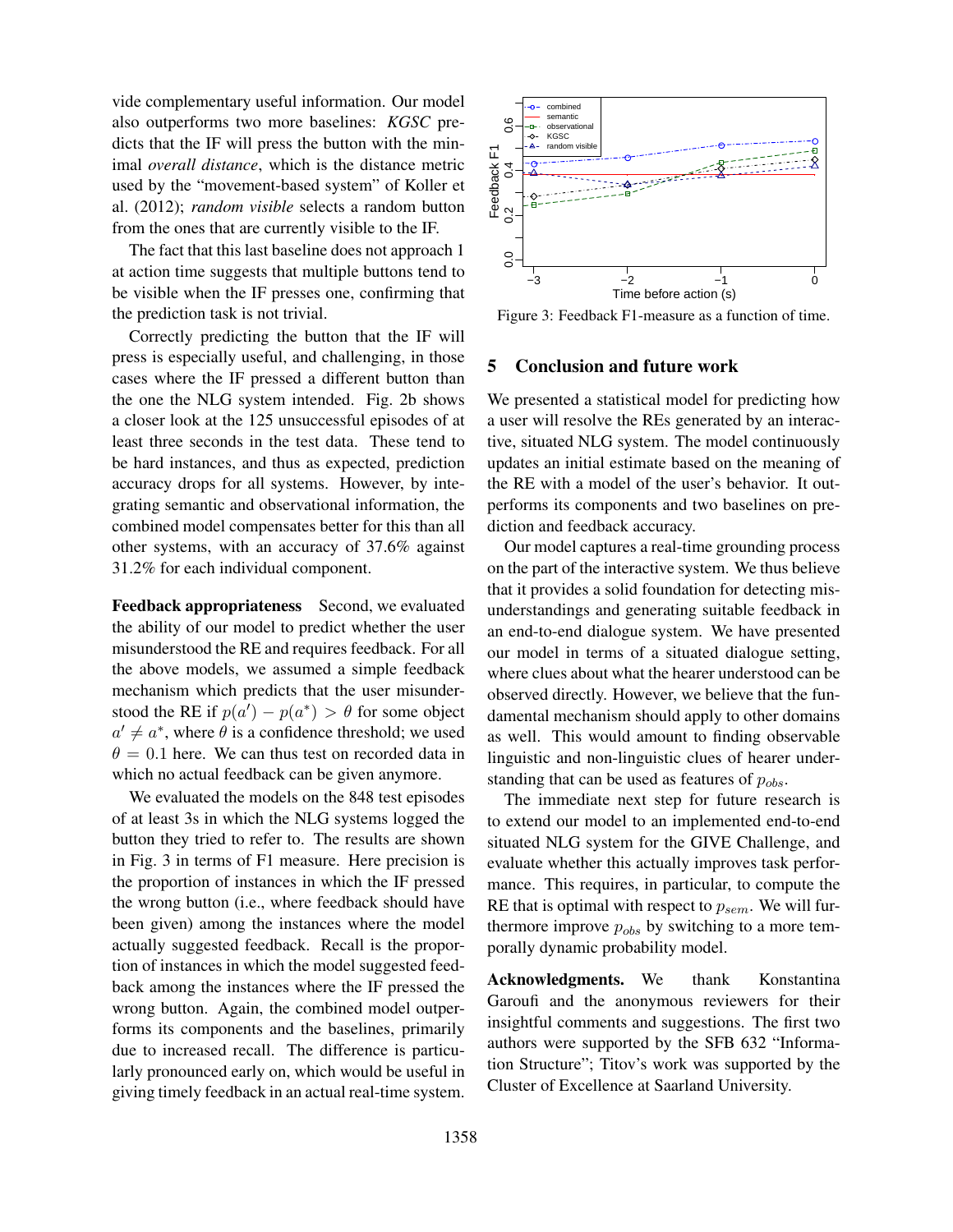vide complementary useful information. Our model also outperforms two more baselines: *KGSC* predicts that the IF will press the button with the minimal *overall distance*, which is the distance metric used by the "movement-based system" of Koller et al. (2012); *random visible* selects a random button from the ones that are currently visible to the IF.

The fact that this last baseline does not approach 1 at action time suggests that multiple buttons tend to be visible when the IF presses one, confirming that the prediction task is not trivial.

Correctly predicting the button that the IF will press is especially useful, and challenging, in those cases where the IF pressed a different button than the one the NLG system intended. Fig. 2b shows a closer look at the 125 unsuccessful episodes of at least three seconds in the test data. These tend to be hard instances, and thus as expected, prediction accuracy drops for all systems. However, by integrating semantic and observational information, the combined model compensates better for this than all other systems, with an accuracy of 37.6% against 31.2% for each individual component.

Feedback appropriateness Second, we evaluated the ability of our model to predict whether the user misunderstood the RE and requires feedback. For all the above models, we assumed a simple feedback mechanism which predicts that the user misunderstood the RE if  $p(a') - p(a^*) > \theta$  for some object  $a' \neq a^*$ , where  $\theta$  is a confidence threshold; we used  $\theta = 0.1$  here. We can thus test on recorded data in which no actual feedback can be given anymore.

We evaluated the models on the 848 test episodes of at least 3s in which the NLG systems logged the button they tried to refer to. The results are shown in Fig. 3 in terms of F1 measure. Here precision is the proportion of instances in which the IF pressed the wrong button (i.e., where feedback should have been given) among the instances where the model actually suggested feedback. Recall is the proportion of instances in which the model suggested feedback among the instances where the IF pressed the wrong button. Again, the combined model outperforms its components and the baselines, primarily due to increased recall. The difference is particularly pronounced early on, which would be useful in giving timely feedback in an actual real-time system.



Figure 3: Feedback F1-measure as a function of time.

#### 5 Conclusion and future work

We presented a statistical model for predicting how a user will resolve the REs generated by an interactive, situated NLG system. The model continuously updates an initial estimate based on the meaning of the RE with a model of the user's behavior. It outperforms its components and two baselines on prediction and feedback accuracy.

Our model captures a real-time grounding process on the part of the interactive system. We thus believe that it provides a solid foundation for detecting misunderstandings and generating suitable feedback in an end-to-end dialogue system. We have presented our model in terms of a situated dialogue setting, where clues about what the hearer understood can be observed directly. However, we believe that the fundamental mechanism should apply to other domains as well. This would amount to finding observable linguistic and non-linguistic clues of hearer understanding that can be used as features of  $p_{obs}$ .

The immediate next step for future research is to extend our model to an implemented end-to-end situated NLG system for the GIVE Challenge, and evaluate whether this actually improves task performance. This requires, in particular, to compute the RE that is optimal with respect to  $p_{sem}$ . We will furthermore improve  $p_{obs}$  by switching to a more temporally dynamic probability model.

Acknowledgments. We thank Konstantina Garoufi and the anonymous reviewers for their insightful comments and suggestions. The first two authors were supported by the SFB 632 "Information Structure"; Titov's work was supported by the Cluster of Excellence at Saarland University.